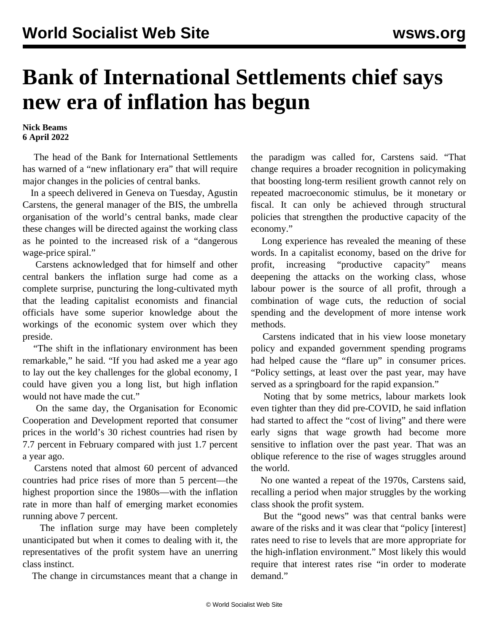## **Bank of International Settlements chief says new era of inflation has begun**

**Nick Beams 6 April 2022**

 The head of the Bank for International Settlements has warned of a "new inflationary era" that will require major changes in the policies of central banks.

 In a speech delivered in Geneva on Tuesday, Agustin Carstens, the general manager of the BIS, the umbrella organisation of the world's central banks, made clear these changes will be directed against the working class as he pointed to the increased risk of a "dangerous wage-price spiral."

 Carstens acknowledged that for himself and other central bankers the inflation surge had come as a complete surprise, puncturing the long-cultivated myth that the leading capitalist economists and financial officials have some superior knowledge about the workings of the economic system over which they preside.

 "The shift in the inflationary environment has been remarkable," he said. "If you had asked me a year ago to lay out the key challenges for the global economy, I could have given you a long list, but high inflation would not have made the cut."

 On the same day, the Organisation for Economic Cooperation and Development reported that consumer prices in the world's 30 richest countries had risen by 7.7 percent in February compared with just 1.7 percent a year ago.

 Carstens noted that almost 60 percent of advanced countries had price rises of more than 5 percent—the highest proportion since the 1980s—with the inflation rate in more than half of emerging market economies running above 7 percent.

 The inflation surge may have been completely unanticipated but when it comes to dealing with it, the representatives of the profit system have an unerring class instinct.

The change in circumstances meant that a change in

the paradigm was called for, Carstens said. "That change requires a broader recognition in policymaking that boosting long-term resilient growth cannot rely on repeated macroeconomic stimulus, be it monetary or fiscal. It can only be achieved through structural policies that strengthen the productive capacity of the economy."

 Long experience has revealed the meaning of these words. In a capitalist economy, based on the drive for profit, increasing "productive capacity" means deepening the attacks on the working class, whose labour power is the source of all profit, through a combination of wage cuts, the reduction of social spending and the development of more intense work methods.

 Carstens indicated that in his view loose monetary policy and expanded government spending programs had helped cause the "flare up" in consumer prices. "Policy settings, at least over the past year, may have served as a springboard for the rapid expansion."

 Noting that by some metrics, labour markets look even tighter than they did pre-COVID, he said inflation had started to affect the "cost of living" and there were early signs that wage growth had become more sensitive to inflation over the past year. That was an oblique reference to the rise of wages struggles around the world.

 No one wanted a repeat of the 1970s, Carstens said, recalling a period when major struggles by the working class shook the profit system.

 But the "good news" was that central banks were aware of the risks and it was clear that "policy [interest] rates need to rise to levels that are more appropriate for the high-inflation environment." Most likely this would require that interest rates rise "in order to moderate demand."